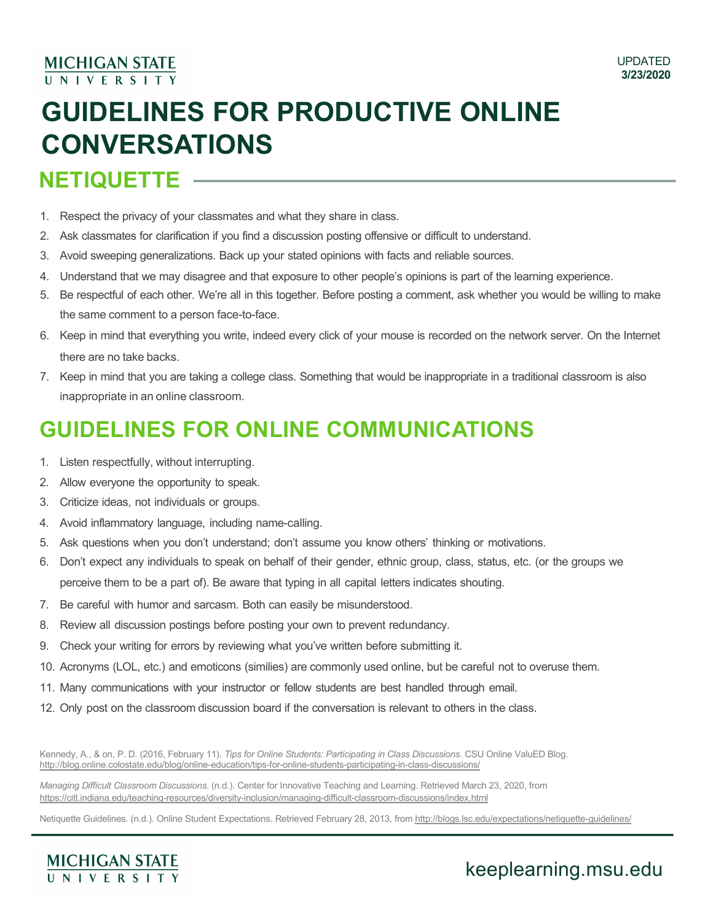#### **MICHIGAN STATE** UNIVERSITY

# **GUIDELINES FOR PRODUCTIVE ONLINE CONVERSATIONS**

# **NETIQUETTE**

- 1. Respect the privacy of your classmates and what they share in class.
- 2. Ask classmates for clarification if you find a discussion posting offensive or difficult to understand.
- 3. Avoid sweeping generalizations. Back up your stated opinions with facts and reliable sources.
- 4. Understand that we may disagree and that exposure to other people's opinions is part of the learning experience.
- 5. Be respectful of each other. We're all in this together. Before posting a comment, ask whether you would be willing to make the same comment to a person face-to-face.
- 6. Keep in mind that everything you write, indeed every click of your mouse is recorded on the network server. On the Internet there are no take backs.
- 7. Keep in mind that you are taking a college class. Something that would be inappropriate in a traditional classroom is also inappropriate in an online classroom.

# **GUIDELINES FOR ONLINE COMMUNICATIONS**

- 1. Listen respectfully, without interrupting.
- 2. Allow everyone the opportunity to speak.
- 3. Criticize ideas, not individuals or groups.
- 4. Avoid inflammatory language, including name-calling.
- 5. Ask questions when you don't understand; don't assume you know others' thinking or motivations.
- 6. Don't expect any individuals to speak on behalf of their gender, ethnic group, class, status, etc. (or the groups we perceive them to be a part of). Be aware that typing in all capital letters indicates shouting.
- 7. Be careful with humor and sarcasm. Both can easily be misunderstood.
- 8. Review all discussion postings before posting your own to prevent redundancy.
- 9. Check your writing for errors by reviewing what you've written before submitting it.
- 10. Acronyms (LOL, etc.) and emoticons (similies) are commonly used online, but be careful not to overuse them.
- 11. Many communications with your instructor or fellow students are best handled through email.
- 12. Only post on the classroom discussion board if the conversation is relevant to others in the class.

Kennedy, A., & on, P. D. (2016, February 11). *Tips for Online Students: Participating in Class Discussions*. CSU Online ValuED Blog. [http://blog.online.colostate.edu/blog/online-education/tips-for-online-students-participating-in-class-discussio](http://blog.online.colostate.edu/blog/online-education/tips-for-online-students-participating-in-class-discussions/)ns/

*Managing Difficult Classroom Discussions*. (n.d.). Center for Innovative Teaching and Learning. Retrieved March 23, 2020, from [https://citl.indiana.edu/teaching-resources/diversity-inclusion/managing-difficult-classroom-discussions/index.h](https://citl.indiana.edu/teaching-resources/diversity-inclusion/managing-difficult-classroom-discussions/index.html)tml

Netiquette Guidelines. (n.d.). Online Student Expectations. Retrieved February 28, 2013, fr[om http://blogs.lsc.edu/expectations/netiquette-guidelin](http://blogs.lsc.edu/expectations/netiquette-guidelines/)es/



### keeplearning.msu.edu